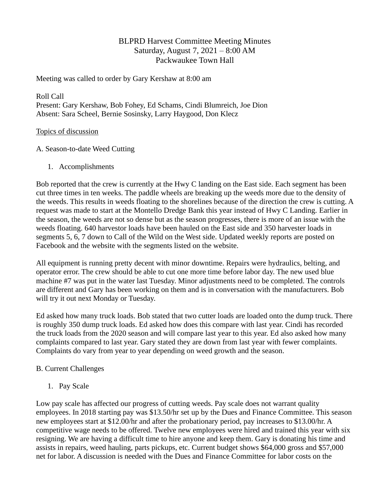# BLPRD Harvest Committee Meeting Minutes Saturday, August 7, 2021 – 8:00 AM Packwaukee Town Hall

Meeting was called to order by Gary Kershaw at 8:00 am

Roll Call Present: Gary Kershaw, Bob Fohey, Ed Schams, Cindi Blumreich, Joe Dion Absent: Sara Scheel, Bernie Sosinsky, Larry Haygood, Don Klecz

### Topics of discussion

### A. Season-to-date Weed Cutting

1. Accomplishments

Bob reported that the crew is currently at the Hwy C landing on the East side. Each segment has been cut three times in ten weeks. The paddle wheels are breaking up the weeds more due to the density of the weeds. This results in weeds floating to the shorelines because of the direction the crew is cutting. A request was made to start at the Montello Dredge Bank this year instead of Hwy C Landing. Earlier in the season, the weeds are not so dense but as the season progresses, there is more of an issue with the weeds floating. 640 harvestor loads have been hauled on the East side and 350 harvester loads in segments 5, 6, 7 down to Call of the Wild on the West side. Updated weekly reports are posted on Facebook and the website with the segments listed on the website.

All equipment is running pretty decent with minor downtime. Repairs were hydraulics, belting, and operator error. The crew should be able to cut one more time before labor day. The new used blue machine #7 was put in the water last Tuesday. Minor adjustments need to be completed. The controls are different and Gary has been working on them and is in conversation with the manufacturers. Bob will try it out next Monday or Tuesday.

Ed asked how many truck loads. Bob stated that two cutter loads are loaded onto the dump truck. There is roughly 350 dump truck loads. Ed asked how does this compare with last year. Cindi has recorded the truck loads from the 2020 season and will compare last year to this year. Ed also asked how many complaints compared to last year. Gary stated they are down from last year with fewer complaints. Complaints do vary from year to year depending on weed growth and the season.

### B. Current Challenges

1. Pay Scale

Low pay scale has affected our progress of cutting weeds. Pay scale does not warrant quality employees. In 2018 starting pay was \$13.50/hr set up by the Dues and Finance Committee. This season new employees start at \$12.00/hr and after the probationary period, pay increases to \$13.00/hr. A competitive wage needs to be offered. Twelve new employees were hired and trained this year with six resigning. We are having a difficult time to hire anyone and keep them. Gary is donating his time and assists in repairs, weed hauling, parts pickups, etc. Current budget shows \$64,000 gross and \$57,000 net for labor. A discussion is needed with the Dues and Finance Committee for labor costs on the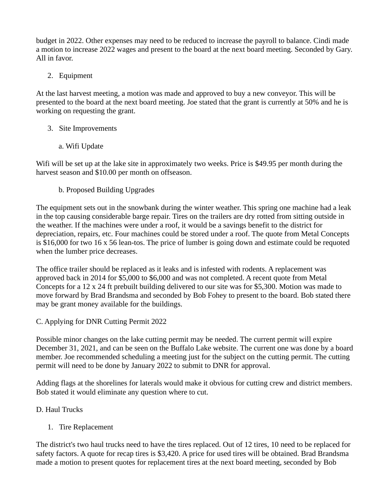budget in 2022. Other expenses may need to be reduced to increase the payroll to balance. Cindi made a motion to increase 2022 wages and present to the board at the next board meeting. Seconded by Gary. All in favor.

# 2. Equipment

At the last harvest meeting, a motion was made and approved to buy a new conveyor. This will be presented to the board at the next board meeting. Joe stated that the grant is currently at 50% and he is working on requesting the grant.

## 3. Site Improvements

a. Wifi Update

Wifi will be set up at the lake site in approximately two weeks. Price is \$49.95 per month during the harvest season and \$10.00 per month on offseason.

b. Proposed Building Upgrades

The equipment sets out in the snowbank during the winter weather. This spring one machine had a leak in the top causing considerable barge repair. Tires on the trailers are dry rotted from sitting outside in the weather. If the machines were under a roof, it would be a savings benefit to the district for depreciation, repairs, etc. Four machines could be stored under a roof. The quote from Metal Concepts is \$16,000 for two 16 x 56 lean-tos. The price of lumber is going down and estimate could be requoted when the lumber price decreases.

The office trailer should be replaced as it leaks and is infested with rodents. A replacement was approved back in 2014 for \$5,000 to \$6,000 and was not completed. A recent quote from Metal Concepts for a 12 x 24 ft prebuilt building delivered to our site was for \$5,300. Motion was made to move forward by Brad Brandsma and seconded by Bob Fohey to present to the board. Bob stated there may be grant money available for the buildings.

## C. Applying for DNR Cutting Permit 2022

Possible minor changes on the lake cutting permit may be needed. The current permit will expire December 31, 2021, and can be seen on the Buffalo Lake website. The current one was done by a board member. Joe recommended scheduling a meeting just for the subject on the cutting permit. The cutting permit will need to be done by January 2022 to submit to DNR for approval.

Adding flags at the shorelines for laterals would make it obvious for cutting crew and district members. Bob stated it would eliminate any question where to cut.

# D. Haul Trucks

# 1. Tire Replacement

The district's two haul trucks need to have the tires replaced. Out of 12 tires, 10 need to be replaced for safety factors. A quote for recap tires is \$3,420. A price for used tires will be obtained. Brad Brandsma made a motion to present quotes for replacement tires at the next board meeting, seconded by Bob